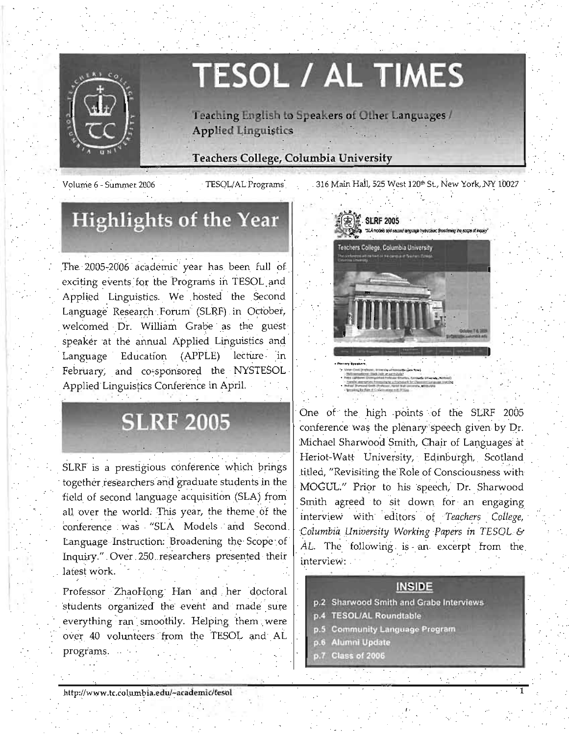

# **TESOL / AL TIMES**

Teaching English to Speakers of Other Languages / **Applied Linguistics** 

### **Teachers College, Columbia University**

Volume 6 - Summer 2006

TESOL/AL Programs

316 Main Hall, 525 West 120th St., New York, NY 10027

## **Highlights of the Year**

The 2005-2006 academic year has been full of exciting events for the Programs in TESOL and Applied Linguistics. We hosted the Second Language Research Forum (SLRF) in October, welcomed Dr. William Grabe as the guest speaker at the annual Applied Linguistics and Language Education (APPLE) lecture in February, and co-sponsored the NYSTESOL Applied Linguistics Conference in April.

## **SLRF 2005**

SLRF is a prestigious conference which brings together researchers and graduate students in the field of second language acquisition (SLA) from all over the world. This year, the theme of the conference was "SLA Models and Second Language Instruction: Broadening the Scope of Inquiry." Over 250 researchers presented their latest work.

Professor ZhaoHong Han and her doctoral students organized the event and made sure everything ran smoothly. Helping them were over 40 volunteers from the TESOL and AL programs.



One of the high points of the SLRF 2005 conference was the plenary speech given by Dr. Michael Sharwood Smith, Chair of Languages at Heriot-Watt University, Edinburgh, Scotland titled, "Revisiting the Role of Consciousness with MOGUL." Prior to his speech, Dr. Sharwood Smith agreed to sit down for an engaging interview with editors of Teachers College, Columbia University Working Papers in TESOL & AL. The following is an excerpt from the interview:

### **INSIDE**

- p.2 Sharwood Smith and Grabe Interviews
- **TESOL/AL Roundtable**
- p.5 Community Language Program
- **Alumni Update**  $p.6$
- Class of 2006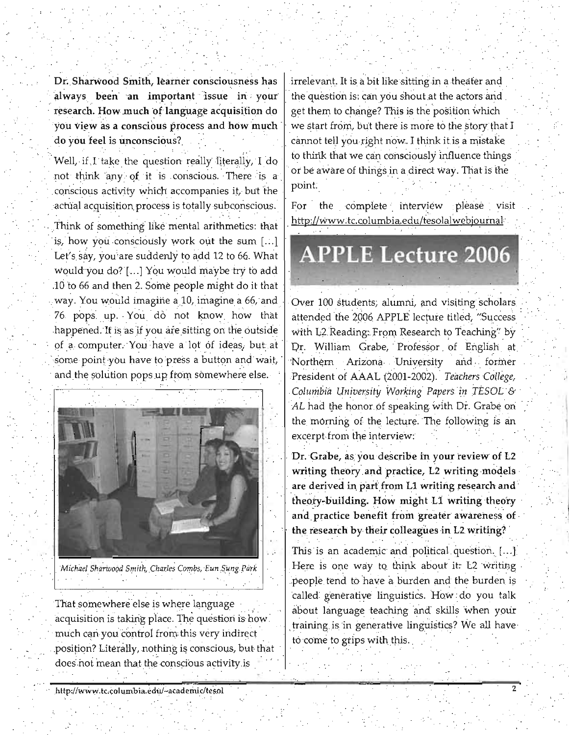Dr. Sharwood Smith, learner consciousness has always been an important issue in your research. How much of language acquisition do you view as a conscious process and how much do you feel is unconscious?

Well, if I take the question really literally, I do not think any of it is conscious. There is a conscious activity which accompanies it, but the actual acquisition process is totally subconscious. Think of something like mental arithmetics: that is, how you consciously work out the sum [...] Let's say, you are suddenly to add 12 to 66. What would you do? [...] You would maybe try to add .10 to 66 and then 2. Some people might do it that way. You would imagine a 10, imagine a 66, and 76 pops up. You do not know how that happened. If is as if you are sitting on the outside of a computer. You have a lot of ideas, but at some point you have to press a button and wait, and the solution pops up from somewhere else.



Michael Sharwood Smith, Charles Combs, Eun Sung Park

That somewhere else is where language acquisition is taking place. The question is how. much can you control from this very indirect position? Literally, nothing is conscious, but that does not mean that the conscious activity is

irrelevant. It is a bit like sitting in a theater and the question is: can you shout at the actors and get them to change? This is the position which we start from, but there is more to the story that I cannot tell you right now. I think it is a mistake to think that we can consciously influence things or be aware of things in a direct way. That is the point.

For the complete interview please visit http://www.tc.columbia.edu/tesolalwebjournal

## **APPLE Lecture 2006**

Over 100 students, alumni, and visiting scholars attended the 2006 APPLE lecture titled, "Success with L2 Reading: From Research to Teaching" by Dr. William Grabe, Professor of English at Northern Arizona University and former President of AAAL (2001-2002). Teachers College, Columbia University Working Papers in TESOL & AL had the honor of speaking with Dr. Grabe on the morning of the lecture. The following is an excerpt from the interview:

Dr. Grabe, as you describe in your review of L2 writing theory and practice, L2 writing models are derived in part from L1 writing research and theory-building. How might L1 writing theory and practice benefit from greater awareness of the research by their colleagues in L2 writing?

This is an academic and political question. [...] Here is one way to think about it. L2 writing people tend to have a burden and the burden is called generative linguistics. How do you talk about language teaching and skills when your training is in generative linguistics? We all have to come to grips with this.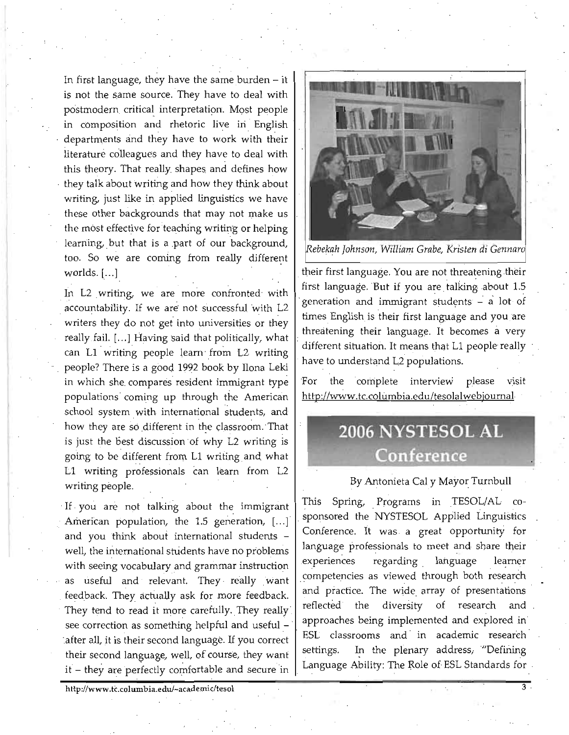In first language, they have the same burden  $-$  it is not the same source. They have to deal with postmodern critical interpretation. Most people in composition and rhetoric live in English departments and they have to work with their literature colleagues and they have to deal with this theory. That really shapes and defines how they talk about writing and how they think about writing, just like in applied linguistics we have these other backgrounds that may not make us the most effective for teaching writing or helping learning, but that is a part of our background, too. So we are coming from really different worlds.  $[...]$ 

In L2 writing, we are more confronted with accountability. If we are not successful with L2 writers they do not get into universities or they really fail. [...] Having said that politically, what can L1 writing people learn from L2 writing people? There is a good 1992 book by Ilona Leki in which she. compares' resident immigrant type populations coming up through the American school system with international students, and how they are so different in the classroom. That is just the best discussion of why L2 writing is going to be different from L1 writing and what L1 writing professionals can learn from L2 writing people.

If you are not talking about the immigrant American population, the 1.5 generation, [...] and you think about international students well, the international students have no problems with seeing vocabulary and grammar instruction as useful and relevant. They really want feedback. They. actually ask for more feedback. They tend to read it more carefully. They really see correction as something helpful and useful -'after all, it is their second language. If you correct their second language, well, of course, they want  $it$  – they are perfectly comfortable and secure in



*ebekah Johnson, William Grabe, Kristen di Gennar* 

their first language. You are not threatening their first language. But if you are talking about 1.5 generation and immigrant students  $-$  a lot of times English is their first language and you are threatening their language. It becomes a very different situation. It means that L1 people really have to understand L2 populations.

For the complete interview please visit http://www.tc.columbia.edu/tesolalwebjournal

## 2006 NYSTESOL AL Conference

#### By Antonieta Caly Mayor Turnbull

This Spring, Programs in TESOL/AL co-· sponsored the NYSTESOL Applied Linguistics Conference. It was a great opportunity for language professionals to meet and share their experiences regarding language learner competencies as viewed through both research and practice. The wide array of presentations reflected the diversity of research and approaches being implemented and explored in ESL classrooms and in academic research settings. In the plenary address, "Defining Language Ability: The Role of ESL Standards for

http://www.tc.columbia.edu/~academic/tesol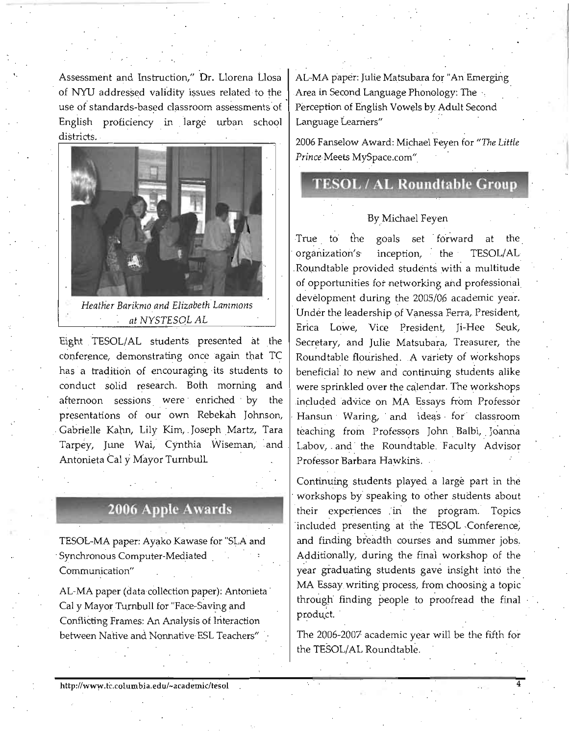Assessment and Instruction," Dr. Llorena Llosa | AL-MA paper: Julie Matsubara for "An Emerging of NYU addressed validity issues related to the Area in Second Language Phonology: The use of standards-based classroom assessments of Perception of English Vowels by Adult Second English proficiency in large urban school Language Learners" districts.



*Heather Barikmo and Elizabeth Lammons at NYSTESOL AL* 

Eight TESOL/AL students presented at the conference, demonstrating once 'again that TC has a tradition of encouraging its students to conduct solid research. Both morning and afternoon sessions were enriched by the presentations of our own Rebekah Johnson, Gabrielle Kahn, Lily Kim, Joseph Martz, Tara Tarpey, June Wai, Cynthia Wiseman, and Antonieta Cal y Mayor Turnbull Examely the conference, demonstrating once again that TC Roundable flourished. A variety of workshop and the search. Both morning and the beneficial to new and continuing students and conduct solid research. Both morning a

## **2006 Apple Awards**

TESOL-MA paper: Ayako Kawase for "SLA and , Synchronous Computer-Mediated Communication"

AL-MA paper (data collection paper): Antonieta Cal y Mayor Turnbull for "Face-Saving and Conflicting Frames: An Analysis of Interaction between Native and Nonnative ESL Teachers"

2006 Fanselow Award: Michael Feyen for "The Little Prince Meets MySpace.com"

## **TESOL / AL Roundtable Group**

#### BY,Michael Feyen

True to the goals set forward at the organization's inception, the TESOL/AL Roundtable provided students with a multitude of opportunities for networking and professional development during the 2005/06 academic year. Under the leadership of Vanessa Ferra, President, Erica Lowe, Vice President, Ji-Hee Seuk, Secretary, and Julie Matsubara, Treasurer, the 'Roundtable flourished. A variety of workshops beneficial to new and continuing students alike were sprinkled over the calendar. The workshops included advice on MA Essays from Professor Hansun Waring, and ideas for classroom teaching from Professors John Balbi, Joanna Labov, and the Roundtable Faculty Advisor Professor Barbara Hawkins.

Continuing students played a large part in the . workshops by speaking to other students about their experiences in the program. Topics included presenting at the TESOL Conference, and finding breadth courses and summer jobs. Additionally, during the final workshop of the year graduating students gave insight into the MA Essay writing process, from choosing a topic through finding people to proofread the final product.

The 2006-2007 academic year will be the fifth for the TESOL/AL Roundtable.

4

http://www.tc.columbia.edu/~academic/tesol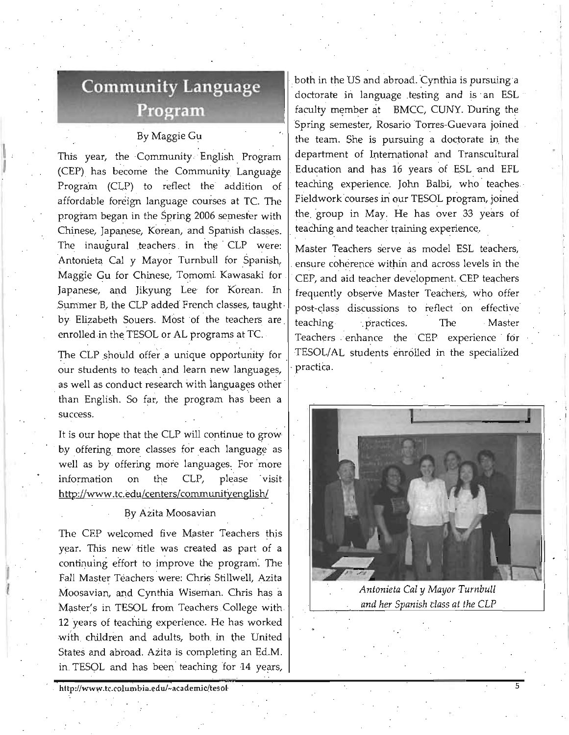# **Community Language**

### By Maggie Gu

l<br>I I

 $\frac{1}{2}$ 

This year, the Community English Program (CEP). has become the Community Language Program (CLP) to reflect the addition of affordable foreign language courses at TC. The . program began in the Spring 2006 semester with Chinese, Japanese, Korean, and Spanish classes. | teaching and teacher training experience. The inaugural teachers in the CLP were: Master Teachers serve as model ESL teachers, Antonieta Cal y Mayor Turnbull for Spanish, ensure coherence within and across levels in the Maggie Gu for Chinese, Tomomi Kawasaki for  $\vert$  CEP, and aid teacher development. CEP teachers Japanese, and Jikyung Lee for Korean. In frequently observe Master Teachers, who offer Summer B, the CLP added French classes, taught  $\vert$  post-class discussions to reflect on effective by Elizabeth Souers. Most of the teachers are  $\frac{1}{1}$  teaching . practices. The Master

our students to teach and learn new languages,  $\cdot$  practica. as well as conduct research with languages other than English. So far, the program has been a **rupped and the solution of the contract of the solution** 

It is our hope that the CLP will continue to grow. by offering more classes for each language as well as by offering more languages, For more information on the CLP, please visit http://www.tc.edu/centers/communityenglish/

#### By Azita Moosavian

The CEP welcomed five Master Teachers this year. This new· title was created as part of a continuing effort to improve the program'. The Fall Master Teachers were: Chris Stillwell, Azita Moosavian, and Cynthia Wiseman. Chris has a Master's in TESOL from Teachers College with 12 years of teaching experience. He has worked with children and adults, both in the United States and abroad. Azita is completing an Ed.M. in. TESOL and has been teaching for 14 years,

Language both in the US and abid doctorate in language and  $\frac{1}{2}$  and  $\frac{1}{2}$  faculty member at B Spring semester, Rosa both in the US and abroad. Cynthia is pursuing a doctorate in language testing and is an ESL faculty member at BMCC, CUNY. During the Spring semester, Rosario Torres-Guevara joined the team. She is pursuing a doctorate in the department of International and Transculturai Education and has 16 years of ESL and EFL teaching experience. John Balbi, who teaches Fieldwork courses in our TBSOL program, joined .the. group in May. He has over 33 years of

·1

enrolled in the TESOL or AL programs at TC.  $\vert$  Teachers enhance the CEP experience for The CLP should offer a unique opportunity for  $\vert$  TESOL/AL students enrolled in the specialized



*Antonieta Cal* y *Mayor TurnbUll*  and her Spanish class at the CLP

5

..

http://www.tc.columbia.edu/~academic/tesol·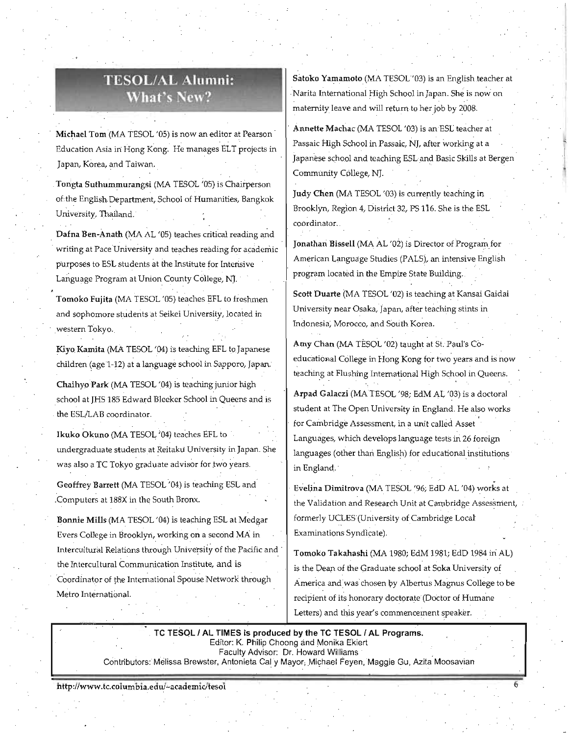## TESOLIAL Alumni: What's New?

Michael *Tom* '(MA TESOL '05) is now an editor at Pearson ' Education Asia in Hong Kong. He manages ELT projects in Japan, Korea, and Taiwan.

. Tongta Suthummurangsi (MA TESOL '05) is Chairperson of the English Department, School of Humanities, Bangkok University, Thailand.

Dafna Ben-Anath (MA AL '05) teaches critical reading and writing at Pace University and teaches reading for academic purposes to ESL students at the Institute for Intensive Language Program at Union County College, NJ.

Tomoko Fujita (MA TESOL '05) teaches EFL to freshmen and sophomore students at Seikei University, located in ,western Tokyo.,

Kiyo. Kamita (MA TESOL '04) is teaching EFL toJapanese children (age 1-12) at a language school in Sapporo, Japan.

Chaihyo Park (MA TESOL '04) is teaching junior high school at JHS 185 Edward Bleeker School in Queens and is the ESL/LAB coordinator.

Ikuko Okuno (MA TESOL '04) teaches EFL to undergraduate students at Reitaku University in Japan. She was also a TC Tokyo graduate advisor for two years.

Geoffrey Barrett (MA TESOL '04) is teaching ESL and :Computers at 188X in the South Bronx.

Bonnie Mills (MA TESOL '04) is teaching ESL at Medgar Evers College in Brooklyn, working on a second MA in Intercultural Relations through University of the Pacific and the Intercultural Communication Institute, and is Coordinator of the International Spouse Network through Metro International.

Satoko Yamamoto (MA TESOL'03) is an English teacher at Narita International High School in Japan. She is now on maternity leave and will retum to her job by 2008.

Annette Machac (MA TESOL '03) is an ESL teacher at Passaic High School in Passaic, NJ, after working at a japanese school and teaching ESL and Basic Skills at Bergen Community College, NJ.

judy Chen (MA TESOL '03) is currently teaching in Brooklyn, Region 4, District 32, PS 116. She is the ESL coordinator.

Jonathan Bissell (MA AL '02) is Director of Program for American Language Studies (PALS), an intensive English program located in the Empire State Building.

Scott Duarte (MA TESOL '02) is teaching at Kansai Gaidai University near Osaka, Japan, after teaching stints in Indonesia, Morocco, and South Korea.

Amy Chan (MA TESOL '02) taught at St. Paul's Coeducational College in Hong Kong for two years and is now teaching at Flushing International High School in Queens.

Arpad Galaczi (MA TESOL '98; EdM AL '03) is a doctoral student at The Open University in England. He also works for Cambridge Assessment, in a unit called Asset Languages, which develops language tests in 26 foreign languages (other than English) for educational institutions in England:.

Evelina Dimitrova (MA TESOL '96; EdD AL '04) works at the Validation and Research Unit at Cambridge Assessment, formerly UCLES (University of Cambridge Local' Examinations Syndlcate).

Tomoko Takahashi (MA 1980; EdM 1981; EdD 1984 in AL) is the Dean of the Graduate school at Soka University of America and was chosen by Albertus Magnus College tobe recipient of its honorary doctorate (Doctor of Humane Letters) and this year's commencement speaker.

TC TESOL / AL TIMES is produced by the TC TESOL / AL Programs. Editor: K. Philip Choong and Monika Ekiert Faculty Advisor: Dr. Howard Williams Contributors: Melissa Brewster, Antonieta Cal y Mayor, Michael Feyen, Maggie Gu, Azita Moosavian

http://www.tc.columbia.edu/~academic/tesol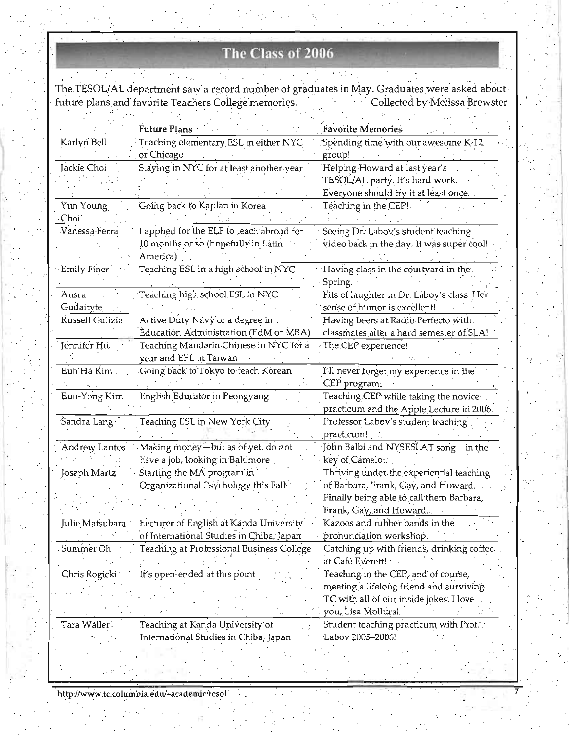## The Class of 2006

The TESOL/AL department saw a record number of graduates in May. Graduates were asked about future plans and favorite Teachers College memories. Collected by Melissa Brewster

|                    | <b>Future Plans</b>                       | <b>Favorite Memories</b>                   |
|--------------------|-------------------------------------------|--------------------------------------------|
| Karlyn Bell        | Teaching elementary ESL in either NYC     | Spending time with our awesome K-12.       |
|                    | or Chicago                                | group!                                     |
| Jackie Choi        | Staying in NYC for at least another year  | Helping Howard at last year's              |
|                    |                                           | TESOL/AL party. It's hard work.            |
|                    |                                           | Everyone should try it at least once.      |
| Yun Young          | Going back to Kaplan in Korea             | Teaching in the CEP!                       |
| Choi               |                                           |                                            |
| Vanessa Ferra      | I applied for the ELF to teach abroad for | Seeing Dr. Labov's student teaching        |
|                    | 10 months or so (hopefully in Latin       | video back in the day. It was super cool!  |
|                    | America)                                  |                                            |
| <b>Emily Finer</b> | Teaching ESL in a high school in NYC      | Having class in the courtyard in the       |
|                    |                                           | Spring.                                    |
| Ausra              | Teaching high school ESL in NYC           | Fits of laughter in Dr. Laboy's class. Her |
| <b>Gudaityte</b>   |                                           | sense of humor is excellent!               |
| Russell Gulizia    | Active Duty Navy or a degree in           | Having beers at Radio Perfecto with        |
|                    | Education Administration (EdM or MBA)     | classmates after a hard semester of SLA!   |
|                    |                                           |                                            |
| Jennifer Hu        | Teaching Mandarin Chinese in NYC for a    | The CEP experience!                        |
|                    | year and EFL in Taiwan                    |                                            |
| Eun Ha Kim.        | Going back to Tokyo to teach Korean       | I'll never forget my experience in the     |
|                    |                                           | CEP program:                               |
| Eun-Yong Kim       | English Educator in Peongyang             | Teaching CEP while taking the novice       |
|                    |                                           | practicum and the Apple Lecture in 2006.   |
| Sandra Lang        | Teaching ESL in New York City             | Professor Labov's student teaching         |
|                    |                                           | practicum!                                 |
| Andrew Lantos      | Making money-but as of yet, do not        | John Balbi and NYSESLAT song-in the        |
|                    | have a job, looking in Baltimore          | key of Camelot.                            |
| Joseph Martz       | Starting the MA program in                | Thriving under the experiential teaching   |
|                    | Organizational Psychology this Fall       | of Barbara, Frank, Gay, and Howard.        |
|                    |                                           | Finally being able to call them Barbara,   |
|                    |                                           | Frank, Gay, and Howard.                    |
|                    |                                           | Kazoos and rubber bands in the             |
|                    | of International Studies in Chiba, Japan  | pronunciation workshop.                    |
| Summer Oh          | Teaching at Professional Business College | Catching up with friends, drinking coffee  |
|                    |                                           | at Café Everett!                           |
|                    |                                           | Teaching in the CEP, and of course,        |
| Chris Rogicki      | It's open-ended at this point             |                                            |
|                    |                                           | meeting a lifelong friend and surviving    |
|                    |                                           | TC with all of our inside jokes: I love    |
|                    |                                           | you, Lisa Mollura!                         |
| Tara Waller        | Teaching at Kanda University of           | Student teaching practicum with Prof.      |
|                    | International Studies in Chiba, Japan     | Labov 2005-2006!                           |
|                    |                                           |                                            |